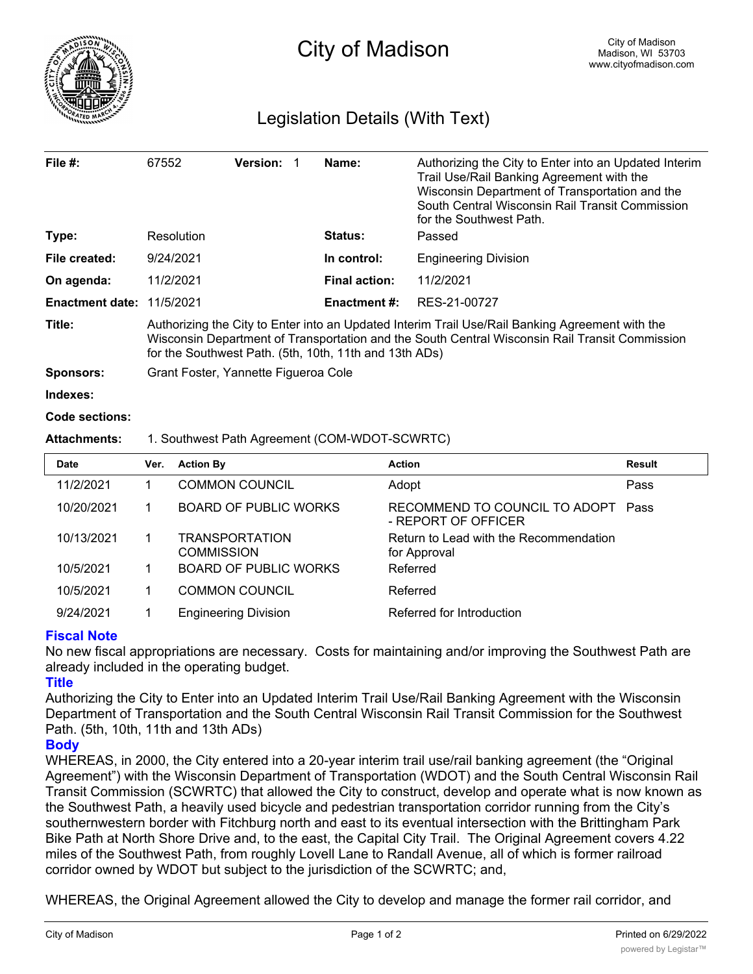

# Legislation Details (With Text)

| File $#$ :             | 67552                                                                                                                                                                                                                                                       | <b>Version:</b> | Name:                | Authorizing the City to Enter into an Updated Interim<br>Trail Use/Rail Banking Agreement with the<br>Wisconsin Department of Transportation and the<br>South Central Wisconsin Rail Transit Commission<br>for the Southwest Path. |  |  |
|------------------------|-------------------------------------------------------------------------------------------------------------------------------------------------------------------------------------------------------------------------------------------------------------|-----------------|----------------------|------------------------------------------------------------------------------------------------------------------------------------------------------------------------------------------------------------------------------------|--|--|
| Type:                  | Resolution                                                                                                                                                                                                                                                  |                 | Status:              | Passed                                                                                                                                                                                                                             |  |  |
| File created:          | 9/24/2021                                                                                                                                                                                                                                                   |                 | In control:          | <b>Engineering Division</b>                                                                                                                                                                                                        |  |  |
| On agenda:             | 11/2/2021                                                                                                                                                                                                                                                   |                 | <b>Final action:</b> | 11/2/2021                                                                                                                                                                                                                          |  |  |
| <b>Enactment date:</b> | 11/5/2021                                                                                                                                                                                                                                                   |                 | Enactment #:         | RES-21-00727                                                                                                                                                                                                                       |  |  |
| Title:                 | Authorizing the City to Enter into an Updated Interim Trail Use/Rail Banking Agreement with the<br>Wisconsin Department of Transportation and the South Central Wisconsin Rail Transit Commission<br>for the Southwest Path. (5th, 10th, 11th and 13th ADs) |                 |                      |                                                                                                                                                                                                                                    |  |  |
| <b>Sponsors:</b>       | Grant Foster, Yannette Figueroa Cole                                                                                                                                                                                                                        |                 |                      |                                                                                                                                                                                                                                    |  |  |
| Indexes:               |                                                                                                                                                                                                                                                             |                 |                      |                                                                                                                                                                                                                                    |  |  |

#### **Code sections:**

# **Attachments:** 1. Southwest Path Agreement (COM-WDOT-SCWRTC)

| <b>Date</b> | Ver. | <b>Action By</b>                           | <b>Action</b>                                          | <b>Result</b> |
|-------------|------|--------------------------------------------|--------------------------------------------------------|---------------|
| 11/2/2021   |      | <b>COMMON COUNCIL</b>                      | Adopt                                                  | Pass          |
| 10/20/2021  |      | <b>BOARD OF PUBLIC WORKS</b>               | RECOMMEND TO COUNCIL TO ADOPT<br>- REPORT OF OFFICER   | Pass          |
| 10/13/2021  |      | <b>TRANSPORTATION</b><br><b>COMMISSION</b> | Return to Lead with the Recommendation<br>for Approval |               |
| 10/5/2021   |      | <b>BOARD OF PUBLIC WORKS</b>               | Referred                                               |               |
| 10/5/2021   |      | <b>COMMON COUNCIL</b>                      | Referred                                               |               |
| 9/24/2021   |      | <b>Engineering Division</b>                | Referred for Introduction                              |               |

### **Fiscal Note**

No new fiscal appropriations are necessary. Costs for maintaining and/or improving the Southwest Path are already included in the operating budget.

## **Title**

Authorizing the City to Enter into an Updated Interim Trail Use/Rail Banking Agreement with the Wisconsin Department of Transportation and the South Central Wisconsin Rail Transit Commission for the Southwest Path. (5th, 10th, 11th and 13th ADs)

# **Body**

WHEREAS, in 2000, the City entered into a 20-year interim trail use/rail banking agreement (the "Original Agreement") with the Wisconsin Department of Transportation (WDOT) and the South Central Wisconsin Rail Transit Commission (SCWRTC) that allowed the City to construct, develop and operate what is now known as the Southwest Path, a heavily used bicycle and pedestrian transportation corridor running from the City's southernwestern border with Fitchburg north and east to its eventual intersection with the Brittingham Park Bike Path at North Shore Drive and, to the east, the Capital City Trail. The Original Agreement covers 4.22 miles of the Southwest Path, from roughly Lovell Lane to Randall Avenue, all of which is former railroad corridor owned by WDOT but subject to the jurisdiction of the SCWRTC; and,

WHEREAS, the Original Agreement allowed the City to develop and manage the former rail corridor, and